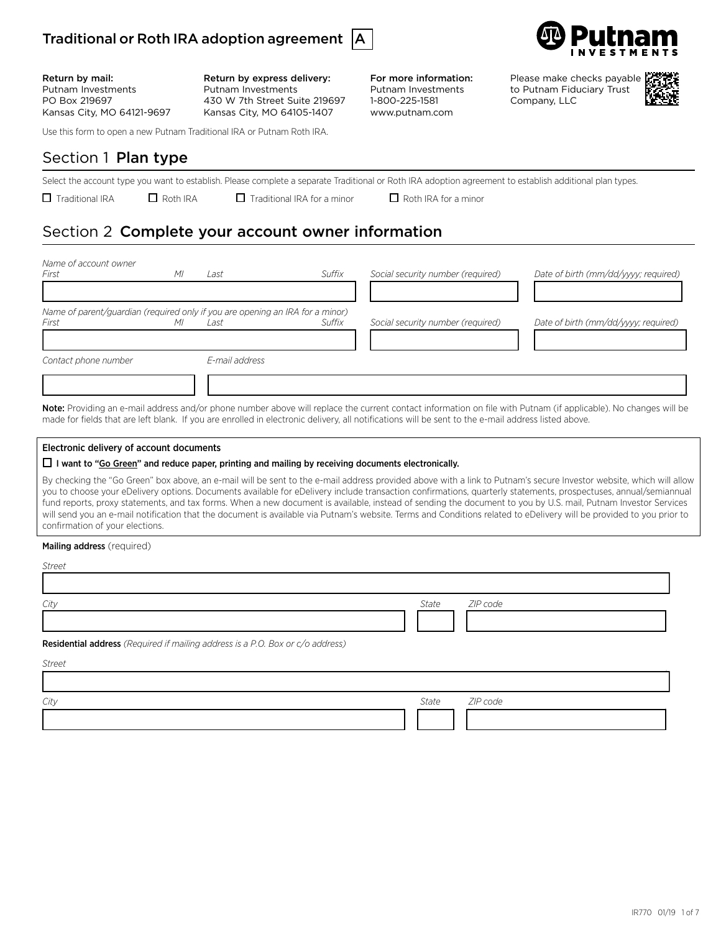



Return by mail: Putnam Investments PO Box 219697 Kansas City, MO 64121-9697 Return by express delivery: Putnam Investments 430 W 7th Street Suite 219697 Kansas City, MO 64105-1407

Use this form to open a new Putnam Traditional IRA or Putnam Roth IRA.

# Section 1 Plan type

Select the account type you want to establish. Please complete a separate Traditional or Roth IRA adoption agreement to establish additional plan types.

 $\Box$  Traditional IRA  $\Box$  Roth IRA  $\Box$  Traditional IRA for a minor  $\Box$  Roth IRA for a minor

For more information: Putnam Investments 1-800-225-1581 www.putnam.com

# Section 2 Complete your account owner information

| Name of account owner<br>First                                                         | MI | Last           | Suffix | Social security number (required) | Date of birth (mm/dd/yyyy; required) |
|----------------------------------------------------------------------------------------|----|----------------|--------|-----------------------------------|--------------------------------------|
| Name of parent/guardian (required only if you are opening an IRA for a minor)<br>First | МI | Last           | Suffix | Social security number (required) | Date of birth (mm/dd/yyyy; required) |
| Contact phone number                                                                   |    | E-mail address |        |                                   |                                      |

Note: Providing an e-mail address and/or phone number above will replace the current contact information on file with Putnam (if applicable). No changes will be made for fields that are left blank. If you are enrolled in electronic delivery, all notifications will be sent to the e-mail address listed above.

#### Electronic delivery of account documents

#### $\Box$  I want to "Go Green" and reduce paper, printing and mailing by receiving documents electronically.

By checking the "Go Green" box above, an e-mail will be sent to the e-mail address provided above with a link to Putnam's secure Investor website, which will allow you to choose your eDelivery options. Documents available for eDelivery include transaction confirmations, quarterly statements, prospectuses, annual/semiannual fund reports, proxy statements, and tax forms. When a new document is available, instead of sending the document to you by U.S. mail, Putnam Investor Services will send you an e-mail notification that the document is available via Putnam's website. Terms and Conditions related to eDelivery will be provided to you prior to confirmation of your elections.

#### Mailing address (required)

*Street*

| City                                                                           | <b>State</b> | ZIP code |
|--------------------------------------------------------------------------------|--------------|----------|
|                                                                                |              |          |
| Residential address (Required if mailing address is a P.O. Box or c/o address) |              |          |

*Street* 133333333333333333333333333333333333334 *City State ZIP code* 13333333333333333333334 134 1333333333334

Please make checks payable to Putnam Fiduciary Trust Company, LLC

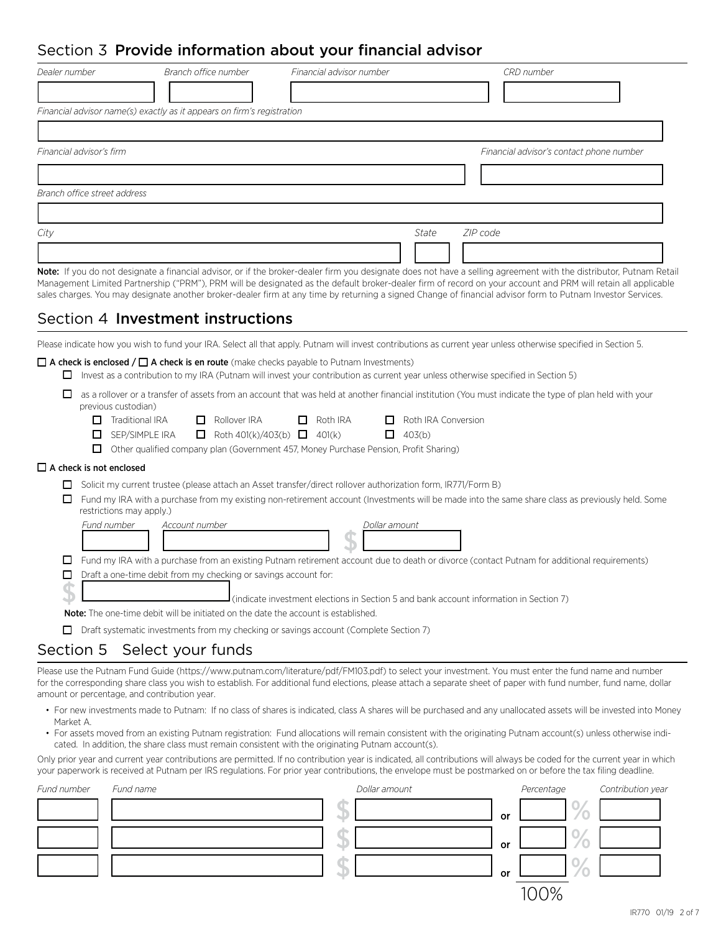# $\cot$   $\bar{x}$  **Drovide information about your financial advisor**

| Dealer number                                                | Branch office number                                                                      | Financial advisor number                                                                                                                                                                                                                 | CRD number                                                                                                                                                                                                                                                                                                                                                                                                                                                                                          |
|--------------------------------------------------------------|-------------------------------------------------------------------------------------------|------------------------------------------------------------------------------------------------------------------------------------------------------------------------------------------------------------------------------------------|-----------------------------------------------------------------------------------------------------------------------------------------------------------------------------------------------------------------------------------------------------------------------------------------------------------------------------------------------------------------------------------------------------------------------------------------------------------------------------------------------------|
|                                                              |                                                                                           |                                                                                                                                                                                                                                          |                                                                                                                                                                                                                                                                                                                                                                                                                                                                                                     |
|                                                              | Financial advisor name(s) exactly as it appears on firm's registration                    |                                                                                                                                                                                                                                          |                                                                                                                                                                                                                                                                                                                                                                                                                                                                                                     |
|                                                              |                                                                                           |                                                                                                                                                                                                                                          |                                                                                                                                                                                                                                                                                                                                                                                                                                                                                                     |
| Financial advisor's firm                                     |                                                                                           |                                                                                                                                                                                                                                          | Financial advisor's contact phone number                                                                                                                                                                                                                                                                                                                                                                                                                                                            |
|                                                              |                                                                                           |                                                                                                                                                                                                                                          |                                                                                                                                                                                                                                                                                                                                                                                                                                                                                                     |
| Branch office street address                                 |                                                                                           |                                                                                                                                                                                                                                          |                                                                                                                                                                                                                                                                                                                                                                                                                                                                                                     |
|                                                              |                                                                                           |                                                                                                                                                                                                                                          |                                                                                                                                                                                                                                                                                                                                                                                                                                                                                                     |
| City                                                         |                                                                                           |                                                                                                                                                                                                                                          | <b>State</b><br>ZIP code                                                                                                                                                                                                                                                                                                                                                                                                                                                                            |
|                                                              |                                                                                           |                                                                                                                                                                                                                                          |                                                                                                                                                                                                                                                                                                                                                                                                                                                                                                     |
|                                                              | Section 4 Investment instructions                                                         |                                                                                                                                                                                                                                          | Note: If you do not designate a financial advisor, or if the broker-dealer firm you designate does not have a selling agreement with the distributor, Putnam Retail<br>Management Limited Partnership ("PRM"), PRM will be designated as the default broker-dealer firm of record on your account and PRM will retain all applicable<br>sales charges. You may designate another broker-dealer firm at any time by returning a signed Change of financial advisor form to Putnam Investor Services. |
|                                                              |                                                                                           | $\Box$ A check is enclosed / $\Box$ A check is en route (make checks payable to Putnam Investments)<br>Invest as a contribution to my IRA (Putnam will invest your contribution as current year unless otherwise specified in Section 5) | Please indicate how you wish to fund your IRA. Select all that apply. Putnam will invest contributions as current year unless otherwise specified in Section 5.                                                                                                                                                                                                                                                                                                                                     |
| ப<br>previous custodian)<br>$\Box$ Traditional IRA<br>ப<br>ப | $\Box$ Rollover IRA<br>SEP/SIMPLE IRA                                                     | $\Box$ Roth IRA<br>ப<br>Roth 401(k)/403(b) $\Box$ 401(k)<br>$\Box$ 403(b)<br>Other qualified company plan (Government 457, Money Purchase Pension, Profit Sharing)                                                                       | as a rollover or a transfer of assets from an account that was held at another financial institution (You must indicate the type of plan held with your<br>Roth IRA Conversion                                                                                                                                                                                                                                                                                                                      |
| $\Box$ A check is not enclosed                               |                                                                                           |                                                                                                                                                                                                                                          |                                                                                                                                                                                                                                                                                                                                                                                                                                                                                                     |
| ப<br>restrictions may apply.)                                |                                                                                           | □ Solicit my current trustee (please attach an Asset transfer/direct rollover authorization form, IR771/Form B)                                                                                                                          | Fund my IRA with a purchase from my existing non-retirement account (Investments will be made into the same share class as previously held. Some                                                                                                                                                                                                                                                                                                                                                    |
| Fund number                                                  | Account number                                                                            | Dollar amount                                                                                                                                                                                                                            |                                                                                                                                                                                                                                                                                                                                                                                                                                                                                                     |
| □                                                            | Draft a one-time debit from my checking or savings account for:                           |                                                                                                                                                                                                                                          | Fund my IRA with a purchase from an existing Putnam retirement account due to death or divorce (contact Putnam for additional requirements)                                                                                                                                                                                                                                                                                                                                                         |
|                                                              | <b>Note:</b> The one-time debit will be initiated on the date the account is established. | (indicate investment elections in Section 5 and bank account information in Section 7)                                                                                                                                                   |                                                                                                                                                                                                                                                                                                                                                                                                                                                                                                     |
|                                                              |                                                                                           | Draft systematic investments from my checking or savings account (Complete Section 7)                                                                                                                                                    |                                                                                                                                                                                                                                                                                                                                                                                                                                                                                                     |
| Section 5                                                    | Select your funds                                                                         |                                                                                                                                                                                                                                          |                                                                                                                                                                                                                                                                                                                                                                                                                                                                                                     |
|                                                              |                                                                                           |                                                                                                                                                                                                                                          |                                                                                                                                                                                                                                                                                                                                                                                                                                                                                                     |
| amount or percentage, and contribution year.                 |                                                                                           |                                                                                                                                                                                                                                          | Please use the Putnam Fund Guide (https://www.putnam.com/literature/pdf/FM103.pdf) to select your investment. You must enter the fund name and number<br>for the corresponding share class you wish to establish. For additional fund elections, please attach a separate sheet of paper with fund number, fund name, dollar                                                                                                                                                                        |

- For new investments made to Putnam: If no class of shares is indicated, class A shares will be purchased and any unallocated assets will be invested into Money Market A.
- For assets moved from an existing Putnam registration: Fund allocations will remain consistent with the originating Putnam account(s) unless otherwise indicated. In addition, the share class must remain consistent with the originating Putnam account(s).

Only prior year and current year contributions are permitted. If no contribution year is indicated, all contributions will always be coded for the current year in which your paperwork is received at Putnam per IRS regulations. For prior year contributions, the envelope must be postmarked on or before the tax filing deadline.

| Fund number | Fund name | Dollar amount |    | Percentage | Contribution year |
|-------------|-----------|---------------|----|------------|-------------------|
|             |           |               | or |            |                   |
|             |           |               | or |            |                   |
|             |           |               | or |            |                   |
|             |           |               |    |            |                   |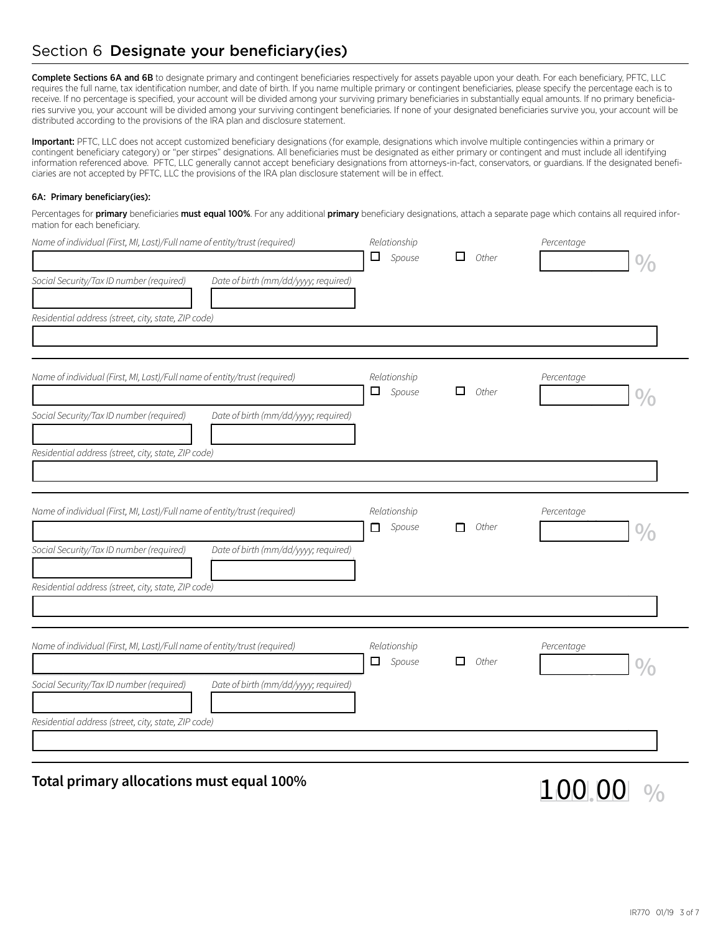# Section 6 Designate your beneficiary(ies)

Complete Sections 6A and 6B to designate primary and contingent beneficiaries respectively for assets payable upon your death. For each beneficiary, PFTC, LLC requires the full name, tax identification number, and date of birth. If you name multiple primary or contingent beneficiaries, please specify the percentage each is to receive. If no percentage is specified, your account will be divided among your surviving primary beneficiaries in substantially equal amounts. If no primary beneficiaries survive you, your account will be divided among your surviving contingent beneficiaries. If none of your designated beneficiaries survive you, your account will be distributed according to the provisions of the IRA plan and disclosure statement.

Important: PFTC, LLC does not accept customized beneficiary designations (for example, designations which involve multiple contingencies within a primary or contingent beneficiary category) or "per stirpes" designations. All beneficiaries must be designated as either primary or contingent and must include all identifying information referenced above. PFTC, LLC generally cannot accept beneficiary designations from attorneys-in-fact, conservators, or guardians. If the designated beneficiaries are not accepted by PFTC, LLC the provisions of the IRA plan disclosure statement will be in effect.

#### 6A: Primary beneficiary(ies):

Percentages for primary beneficiaries must equal 100%. For any additional primary beneficiary designations, attach a separate page which contains all required information for each beneficiary.

| Name of individual (First, MI, Last)/Full name of entity/trust (required)<br>Social Security/Tax ID number (required)<br>Date of birth (mm/dd/yyyy; required) | Relationship<br>$\Box$ Spouse | П<br>Other | Percentage |
|---------------------------------------------------------------------------------------------------------------------------------------------------------------|-------------------------------|------------|------------|
| Residential address (street, city, state, ZIP code)                                                                                                           |                               |            |            |
| Name of individual (First, MI, Last)/Full name of entity/trust (required)<br>Social Security/Tax ID number (required)<br>Date of birth (mm/dd/yyyy; required) | Relationship<br>Spouse<br>□   | □<br>Other | Percentage |
| Residential address (street, city, state, ZIP code)                                                                                                           |                               |            |            |
| Name of individual (First, MI, Last)/Full name of entity/trust (required)                                                                                     | Relationship<br>$\Box$ Spouse | Other<br>п | Percentage |
| Social Security/Tax ID number (required)<br>Date of birth (mm/dd/yyyy; required)<br>Residential address (street, city, state, ZIP code)                       |                               |            |            |
|                                                                                                                                                               |                               |            |            |
| Name of individual (First, MI, Last)/Full name of entity/trust (required)                                                                                     | Relationship<br>$\Box$ Spouse | Other<br>П | Percentage |
| Social Security/Tax ID number (required)<br>Date of birth (mm/dd/yyyy; required)                                                                              |                               |            |            |
| Residential address (street, city, state, ZIP code)                                                                                                           |                               |            |            |

# **Total primary allocations must equal 100%** 1 1 0 0  $\vert$  0  $\vert$  0  $\vert$  0  $\vert$  0  $\vert$  0  $\vert$  0  $\vert$  0  $\vert$  0  $\vert$  0  $\vert$  0  $\vert$  0  $\vert$  0  $\vert$  0  $\vert$  0  $\vert$  0  $\vert$  0  $\vert$  0  $\vert$  0  $\vert$  0  $\vert$  0  $\vert$  0  $\vert$  0  $\vert$  0  $\vert$  0  $\$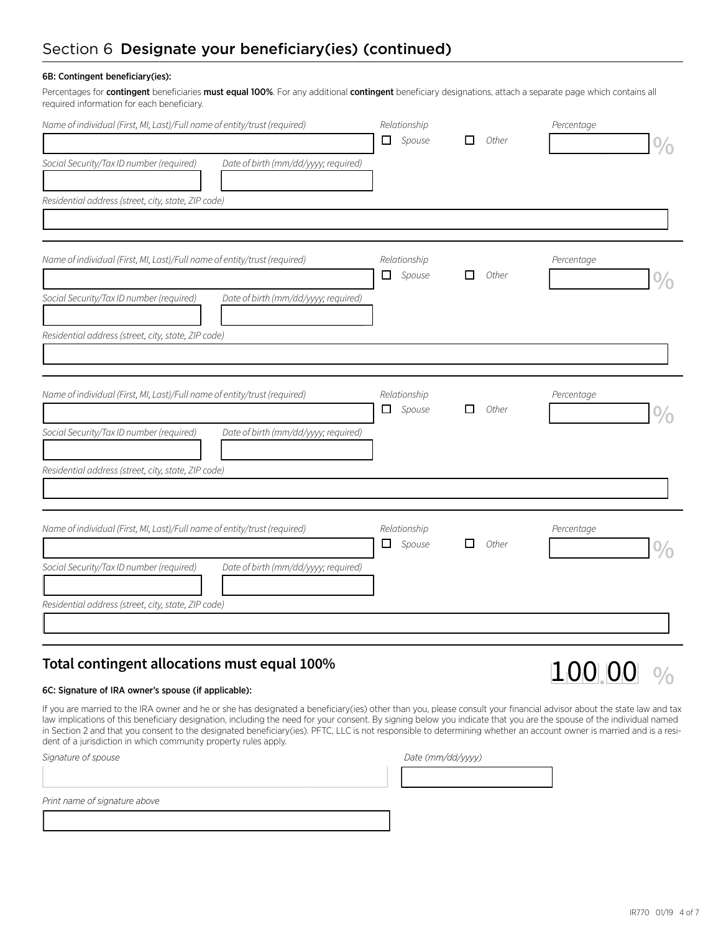#### 6B: Contingent beneficiary(ies):

Percentages for contingent beneficiaries must equal 100%. For any additional contingent beneficiary designations, attach a separate page which contains all required information for each beneficiary.

| Name of individual (First, MI, Last)/Full name of entity/trust (required)        | Relationship<br>$\Box$ Spouse | Other       | Percentage |
|----------------------------------------------------------------------------------|-------------------------------|-------------|------------|
| Social Security/Tax ID number (required)<br>Date of birth (mm/dd/yyyy; required) |                               |             |            |
| Residential address (street, city, state, ZIP code)                              |                               |             |            |
| Name of individual (First, MI, Last)/Full name of entity/trust (required)        | Relationship<br>$\Box$ Spouse | Other<br>□  | Percentage |
| Social Security/Tax ID number (required)<br>Date of birth (mm/dd/yyyy; required) |                               |             |            |
| Residential address (street, city, state, ZIP code)                              |                               |             |            |
| Name of individual (First, MI, Last)/Full name of entity/trust (required)        | Relationship<br>$\Box$ Spouse | L.<br>Other | Percentage |
| Social Security/Tax ID number (required)<br>Date of birth (mm/dd/yyyy; required) |                               |             |            |
| Residential address (street, city, state, ZIP code)                              |                               |             |            |
| Name of individual (First, MI, Last)/Full name of entity/trust (required)        | Relationship<br>$\Box$ Spouse | □<br>Other  | Percentage |
| Social Security/Tax ID number (required)<br>Date of birth (mm/dd/yyyy; required) |                               |             |            |
| Residential address (street, city, state, ZIP code)                              |                               |             |            |

### **Total contingent allocations must equal 100%**

#### 6C: Signature of IRA owner's spouse (if applicable):

If you are married to the IRA owner and he or she has designated a beneficiary(ies) other than you, please consult your financial advisor about the state law and tax law implications of this beneficiary designation, including the need for your consent. By signing below you indicate that you are the spouse of the individual named in Section 2 and that you consent to the designated beneficiary(ies). PFTC, LLC is not responsible to determining whether an account owner is married and is a resident of a jurisdiction in which community property rules apply.

| Signature of spouse           | Date (mm/dd/yyyy) |
|-------------------------------|-------------------|
|                               |                   |
| Print name of signature above |                   |
|                               |                   |

100.00 %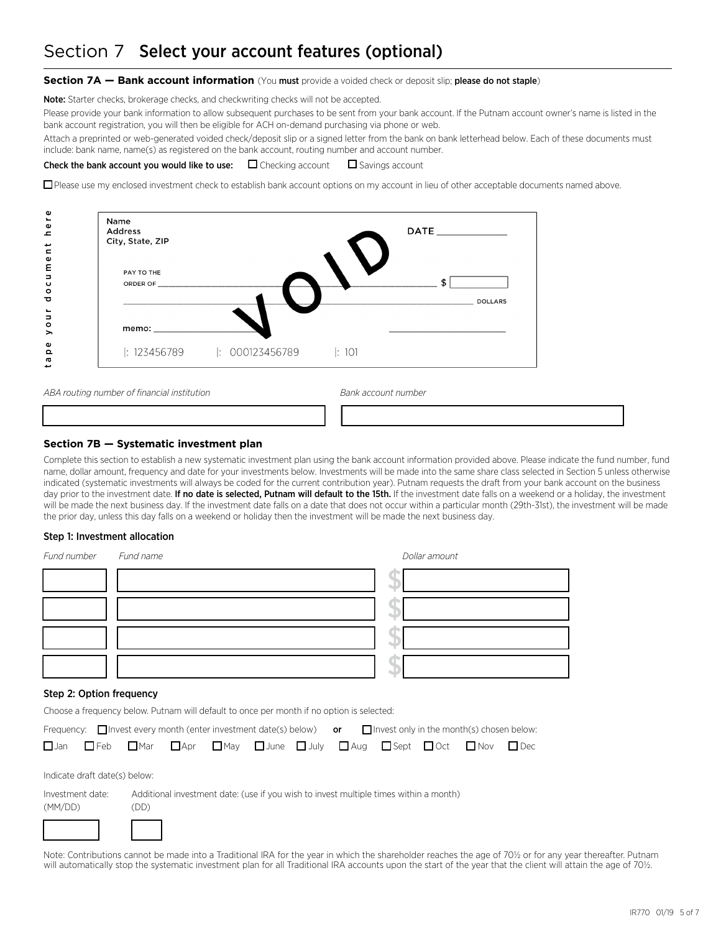# Section 7 Select your account features (optional)

#### **Section 7A — Bank account information** (You must provide a voided check or deposit slip; please do not staple)

Note: Starter checks, brokerage checks, and checkwriting checks will not be accepted.

Please provide your bank information to allow subsequent purchases to be sent from your bank account. If the Putnam account owner's name is listed in the bank account registration, you will then be eligible for ACH on-demand purchasing via phone or web.

Attach a preprinted or web-generated voided check/deposit slip or a signed letter from the bank on bank letterhead below. Each of these documents must include: bank name, name(s) as registered on the bank account, routing number and account number.

#### **Check the bank account you would like to use:**  $\Box$  Checking account  $\Box$  Savings account

□ Please use my enclosed investment check to establish bank account options on my account in lieu of other acceptable documents named above.

| Address<br>City, State, ZIP<br>PAY TO THE |                            |                     |
|-------------------------------------------|----------------------------|---------------------|
| ORDER OF ___________                      |                            | o<br><b>DOLLARS</b> |
| memo: $\_\_$                              |                            |                     |
| $\pm 123456789$                           | $ : 000123456789$ $ : 101$ |                     |

ABA routing number of financial institution **Bank account number** Bank account number

#### **Section 7B — Systematic investment plan**

Complete this section to establish a new systematic investment plan using the bank account information provided above. Please indicate the fund number, fund name, dollar amount, frequency and date for your investments below. Investments will be made into the same share class selected in Section 5 unless otherwise indicated (systematic investments will always be coded for the current contribution year). Putnam requests the draft from your bank account on the business day prior to the investment date. If no date is selected, Putnam will default to the 15th. If the investment date falls on a weekend or a holiday, the investment will be made the next business day. If the investment date falls on a date that does not occur within a particular month (29th-31st), the investment will be made the prior day, unless this day falls on a weekend or holiday then the investment will be made the next business day.

133333333333333334 133333333333333334

#### Step 1: Investment allocation

| Fund number              | Fund name | Dollar amount                                                                                                   |
|--------------------------|-----------|-----------------------------------------------------------------------------------------------------------------|
|                          |           |                                                                                                                 |
|                          |           |                                                                                                                 |
|                          |           |                                                                                                                 |
|                          |           |                                                                                                                 |
| Step 2: Option frequency |           | the contract of the contract of the contract of the contract of the contract of the contract of the contract of |

Choose a frequency below. Putnam will default to once per month if no option is selected:

|  |  |  | Frequency: $\Box$ Invest every month (enter investment date(s) below) or $\Box$ Invest only in the month(s) chosen below:              |  |  |
|--|--|--|----------------------------------------------------------------------------------------------------------------------------------------|--|--|
|  |  |  | $\Box$ Jan $\Box$ Feb $\Box$ Mar $\Box$ Apr $\Box$ May $\Box$ June $\Box$ July $\Box$ Aug $\Box$ Sept $\Box$ Oct $\Box$ Nov $\Box$ Dec |  |  |

Indicate draft date(s) below:



Note: Contributions cannot be made into a Traditional IRA for the year in which the shareholder reaches the age of 70½ or for any year thereafter. Putnam will automatically stop the systematic investment plan for all Traditional IRA accounts upon the start of the year that the client will attain the age of 70½.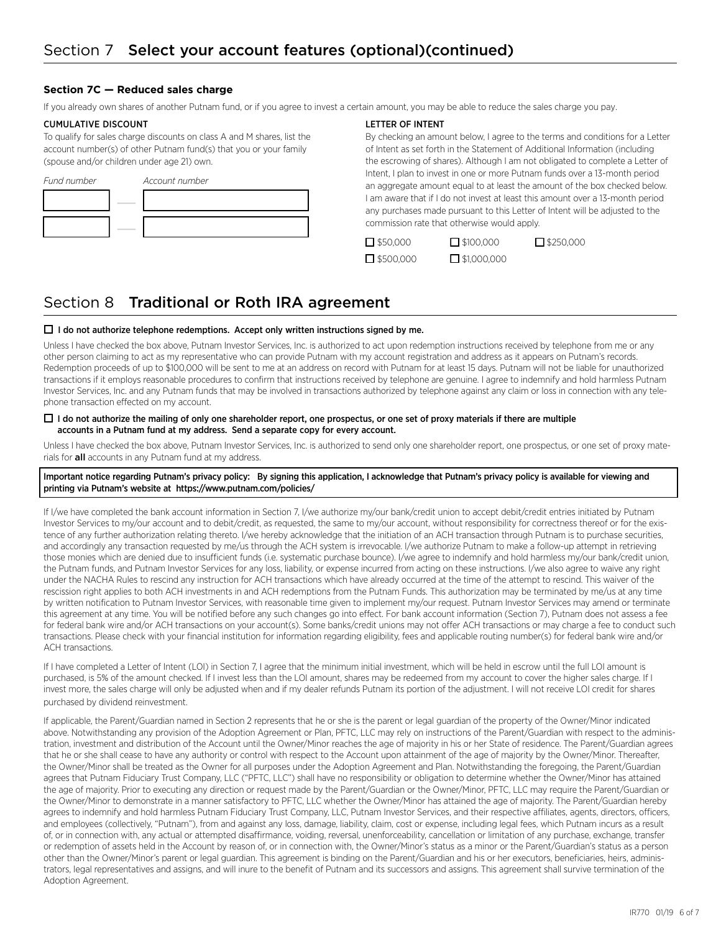#### **Section 7C — Reduced sales charge**

If you already own shares of another Putnam fund, or if you agree to invest a certain amount, you may be able to reduce the sales charge you pay.

#### CUMULATIVE DISCOUNT

To qualify for sales charge discounts on class A and M shares, list the account number(s) of other Putnam fund(s) that you or your family (spouse and/or children under age 21) own.



#### LETTER OF INTENT

By checking an amount below, I agree to the terms and conditions for a Letter of Intent as set forth in the Statement of Additional Information (including the escrowing of shares). Although I am not obligated to complete a Letter of Intent, I plan to invest in one or more Putnam funds over a 13-month period an aggregate amount equal to at least the amount of the box checked below. I am aware that if I do not invest at least this amount over a 13-month period any purchases made pursuant to this Letter of Intent will be adjusted to the commission rate that otherwise would apply.

 $\Box$  \$50,000  $\Box$  \$100,000  $\Box$  \$250,000  $\Box$  \$500,000  $\Box$  \$1,000,000

### Section 8 Traditional or Roth IRA agreement

#### $\Box$  I do not authorize telephone redemptions. Accept only written instructions signed by me.

Unless I have checked the box above, Putnam Investor Services, Inc. is authorized to act upon redemption instructions received by telephone from me or any other person claiming to act as my representative who can provide Putnam with my account registration and address as it appears on Putnam's records. Redemption proceeds of up to \$100,000 will be sent to me at an address on record with Putnam for at least 15 days. Putnam will not be liable for unauthorized transactions if it employs reasonable procedures to confirm that instructions received by telephone are genuine. I agree to indemnify and hold harmless Putnam Investor Services, Inc. and any Putnam funds that may be involved in transactions authorized by telephone against any claim or loss in connection with any telephone transaction effected on my account.

#### $\Box$  I do not authorize the mailing of only one shareholder report, one prospectus, or one set of proxy materials if there are multiple accounts in a Putnam fund at my address. Send a separate copy for every account.

Unless I have checked the box above, Putnam Investor Services, Inc. is authorized to send only one shareholder report, one prospectus, or one set of proxy materials for **all** accounts in any Putnam fund at my address.

#### Important notice regarding Putnam's privacy policy: By signing this application, I acknowledge that Putnam's privacy policy is available for viewing and printing via Putnam's website at https://www.putnam.com/policies/

If I/we have completed the bank account information in Section 7, I/we authorize my/our bank/credit union to accept debit/credit entries initiated by Putnam Investor Services to my/our account and to debit/credit, as requested, the same to my/our account, without responsibility for correctness thereof or for the existence of any further authorization relating thereto. I/we hereby acknowledge that the initiation of an ACH transaction through Putnam is to purchase securities, and accordingly any transaction requested by me/us through the ACH system is irrevocable. I/we authorize Putnam to make a follow-up attempt in retrieving those monies which are denied due to insufficient funds (i.e. systematic purchase bounce). I/we agree to indemnify and hold harmless my/our bank/credit union, the Putnam funds, and Putnam Investor Services for any loss, liability, or expense incurred from acting on these instructions. I/we also agree to waive any right under the NACHA Rules to rescind any instruction for ACH transactions which have already occurred at the time of the attempt to rescind. This waiver of the rescission right applies to both ACH investments in and ACH redemptions from the Putnam Funds. This authorization may be terminated by me/us at any time by written notification to Putnam Investor Services, with reasonable time given to implement my/our request. Putnam Investor Services may amend or terminate this agreement at any time. You will be notified before any such changes go into effect. For bank account information (Section 7), Putnam does not assess a fee for federal bank wire and/or ACH transactions on your account(s). Some banks/credit unions may not offer ACH transactions or may charge a fee to conduct such transactions. Please check with your financial institution for information regarding eligibility, fees and applicable routing number(s) for federal bank wire and/or ACH transactions.

If I have completed a Letter of Intent (LOI) in Section 7, I agree that the minimum initial investment, which will be held in escrow until the full LOI amount is purchased, is 5% of the amount checked. If I invest less than the LOI amount, shares may be redeemed from my account to cover the higher sales charge. If I invest more, the sales charge will only be adjusted when and if my dealer refunds Putnam its portion of the adjustment. I will not receive LOI credit for shares purchased by dividend reinvestment.

If applicable, the Parent/Guardian named in Section 2 represents that he or she is the parent or legal guardian of the property of the Owner/Minor indicated above. Notwithstanding any provision of the Adoption Agreement or Plan, PFTC, LLC may rely on instructions of the Parent/Guardian with respect to the administration, investment and distribution of the Account until the Owner/Minor reaches the age of majority in his or her State of residence. The Parent/Guardian agrees that he or she shall cease to have any authority or control with respect to the Account upon attainment of the age of majority by the Owner/Minor. Thereafter, the Owner/Minor shall be treated as the Owner for all purposes under the Adoption Agreement and Plan. Notwithstanding the foregoing, the Parent/Guardian agrees that Putnam Fiduciary Trust Company, LLC ("PFTC, LLC") shall have no responsibility or obligation to determine whether the Owner/Minor has attained the age of majority. Prior to executing any direction or request made by the Parent/Guardian or the Owner/Minor, PFTC, LLC may require the Parent/Guardian or the Owner/Minor to demonstrate in a manner satisfactory to PFTC, LLC whether the Owner/Minor has attained the age of majority. The Parent/Guardian hereby agrees to indemnify and hold harmless Putnam Fiduciary Trust Company, LLC, Putnam Investor Services, and their respective affiliates, agents, directors, officers, and employees (collectively, "Putnam"), from and against any loss, damage, liability, claim, cost or expense, including legal fees, which Putnam incurs as a result of, or in connection with, any actual or attempted disaffirmance, voiding, reversal, unenforceability, cancellation or limitation of any purchase, exchange, transfer or redemption of assets held in the Account by reason of, or in connection with, the Owner/Minor's status as a minor or the Parent/Guardian's status as a person other than the Owner/Minor's parent or legal guardian. This agreement is binding on the Parent/Guardian and his or her executors, beneficiaries, heirs, administrators, legal representatives and assigns, and will inure to the benefit of Putnam and its successors and assigns. This agreement shall survive termination of the Adoption Agreement.